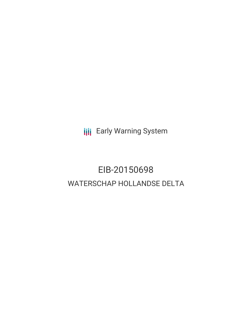**III** Early Warning System

# EIB-20150698 WATERSCHAP HOLLANDSE DELTA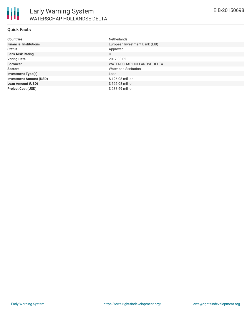| <b>Countries</b>               | <b>Netherlands</b>             |
|--------------------------------|--------------------------------|
| <b>Financial Institutions</b>  | European Investment Bank (EIB) |
| <b>Status</b>                  | Approved                       |
| <b>Bank Risk Rating</b>        | U                              |
| <b>Voting Date</b>             | 2017-03-02                     |
| <b>Borrower</b>                | WATERSCHAP HOLLANDSE DELTA     |
| <b>Sectors</b>                 | Water and Sanitation           |
| <b>Investment Type(s)</b>      | Loan                           |
| <b>Investment Amount (USD)</b> | \$126.08 million               |
| <b>Loan Amount (USD)</b>       | \$126.08 million               |
| <b>Project Cost (USD)</b>      | \$283.69 million               |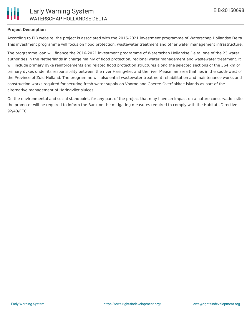

# **Project Description**

According to EIB website, the project is associated with the 2016-2021 investment programme of Waterschap Hollandse Delta. This investment programme will focus on flood protection, wastewater treatment and other water management infrastructure.

The programme loan will finance the 2016-2021 investment programme of Waterschap Hollandse Delta, one of the 23 water authorities in the Netherlands in charge mainly of flood protection, regional water management and wastewater treatment. It will include primary dyke reinforcements and related flood protection structures along the selected sections of the 364 km of primary dykes under its responsibility between the river Haringvliet and the river Meuse, an area that lies in the south-west of the Province of Zuid-Holland. The programme will also entail wastewater treatment rehabilitation and maintenance works and construction works required for securing fresh water supply on Voorne and Goeree-Overflakkee islands as part of the alternative management of Haringvliet sluices.

On the environmental and social standpoint, for any part of the project that may have an impact on a nature conservation site, the promoter will be required to inform the Bank on the mitigating measures required to comply with the Habitats Directive 92/43/EEC.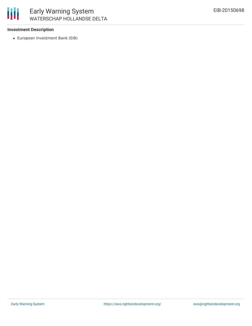

#### **Investment Description**

European Investment Bank (EIB)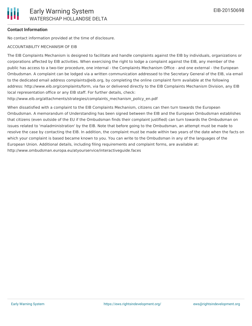## **Contact Information**

No contact information provided at the time of disclosure.

### ACCOUNTABILITY MECHANISM OF EIB

The EIB Complaints Mechanism is designed to facilitate and handle complaints against the EIB by individuals, organizations or corporations affected by EIB activities. When exercising the right to lodge a complaint against the EIB, any member of the public has access to a two-tier procedure, one internal - the Complaints Mechanism Office - and one external - the European Ombudsman. A complaint can be lodged via a written communication addressed to the Secretary General of the EIB, via email to the dedicated email address complaints@eib.org, by completing the online complaint form available at the following address: http://www.eib.org/complaints/form, via fax or delivered directly to the EIB Complaints Mechanism Division, any EIB local representation office or any EIB staff. For further details, check:

http://www.eib.org/attachments/strategies/complaints\_mechanism\_policy\_en.pdf

When dissatisfied with a complaint to the EIB Complaints Mechanism, citizens can then turn towards the European Ombudsman. A memorandum of Understanding has been signed between the EIB and the European Ombudsman establishes that citizens (even outside of the EU if the Ombudsman finds their complaint justified) can turn towards the Ombudsman on issues related to 'maladministration' by the EIB. Note that before going to the Ombudsman, an attempt must be made to resolve the case by contacting the EIB. In addition, the complaint must be made within two years of the date when the facts on which your complaint is based became known to you. You can write to the Ombudsman in any of the languages of the European Union. Additional details, including filing requirements and complaint forms, are available at: http://www.ombudsman.europa.eu/atyourservice/interactiveguide.faces